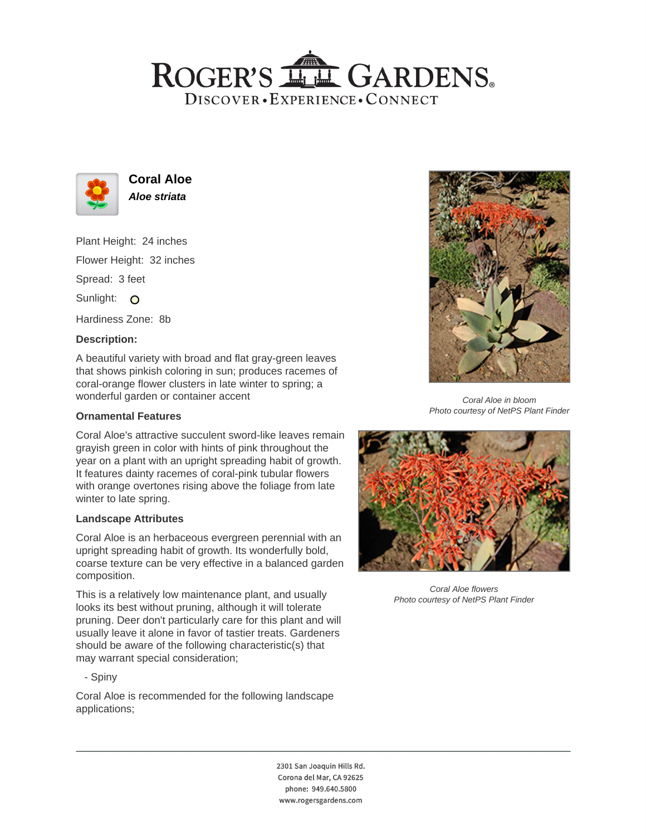## ROGER'S LL GARDENS. DISCOVER · EXPERIENCE · CONNECT



**Coral Aloe Aloe striata**

Plant Height: 24 inches Flower Height: 32 inches

Spread: 3 feet

Sunlight: O

Hardiness Zone: 8b

## **Description:**

A beautiful variety with broad and flat gray-green leaves that shows pinkish coloring in sun; produces racemes of coral-orange flower clusters in late winter to spring; a wonderful garden or container accent

### **Ornamental Features**

Coral Aloe's attractive succulent sword-like leaves remain grayish green in color with hints of pink throughout the year on a plant with an upright spreading habit of growth. It features dainty racemes of coral-pink tubular flowers with orange overtones rising above the foliage from late winter to late spring.

#### **Landscape Attributes**

Coral Aloe is an herbaceous evergreen perennial with an upright spreading habit of growth. Its wonderfully bold, coarse texture can be very effective in a balanced garden composition.

This is a relatively low maintenance plant, and usually looks its best without pruning, although it will tolerate pruning. Deer don't particularly care for this plant and will usually leave it alone in favor of tastier treats. Gardeners should be aware of the following characteristic(s) that may warrant special consideration;

- Spiny

Coral Aloe is recommended for the following landscape applications;



Coral Aloe in bloom Photo courtesy of NetPS Plant Finder



Coral Aloe flowers Photo courtesy of NetPS Plant Finder

2301 San Joaquin Hills Rd. Corona del Mar, CA 92625 phone: 949.640.5800 www.rogersgardens.com